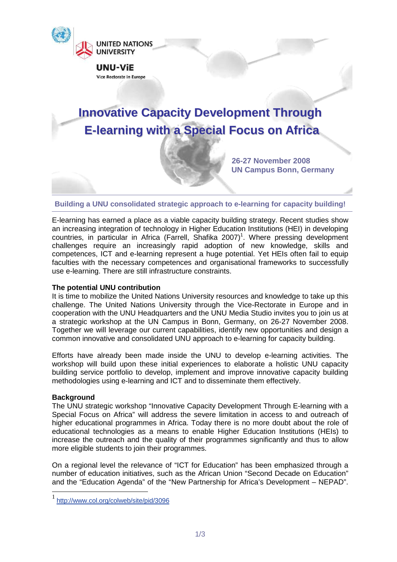

# **Building a UNU consolidated strategic approach to e-learning for capacity building!**

E-learning has earned a place as a viable capacity building strategy. Recent studies show an increasing integration of technology in Higher Education Institutions (HEI) in developing countries, in particular in Africa (Farrell, Shafika 2007)<sup>1</sup>. Where pressing development challenges require an increasingly rapid adoption of new knowledge, skills and competences, ICT and e-learning represent a huge potential. Yet HEIs often fail to equip faculties with the necessary competences and organisational frameworks to successfully use e-learning. There are still infrastructure constraints.

## **The potential UNU contribution**

It is time to mobilize the United Nations University resources and knowledge to take up this challenge. The United Nations University through the Vice-Rectorate in Europe and in cooperation with the UNU Headquarters and the UNU Media Studio invites you to join us at a strategic workshop at the UN Campus in Bonn, Germany, on 26-27 November 2008. Together we will leverage our current capabilities, identify new opportunities and design a common innovative and consolidated UNU approach to e-learning for capacity building.

Efforts have already been made inside the UNU to develop e-learning activities. The workshop will build upon these initial experiences to elaborate a holistic UNU capacity building service portfolio to develop, implement and improve innovative capacity building methodologies using e-learning and ICT and to disseminate them effectively.

## **Background**

 $\overline{a}$ 

The UNU strategic workshop "Innovative Capacity Development Through E-learning with a Special Focus on Africa" will address the severe limitation in access to and outreach of higher educational programmes in Africa. Today there is no more doubt about the role of educational technologies as a means to enable Higher Education Institutions (HEIs) to increase the outreach and the quality of their programmes significantly and thus to allow more eligible students to join their programmes.

On a regional level the relevance of "ICT for Education" has been emphasized through a number of education initiatives, such as the African Union "Second Decade on Education" and the "Education Agenda" of the "New Partnership for Africa's Development – NEPAD".

<sup>1</sup> http://www.col.org/colweb/site/pid/3096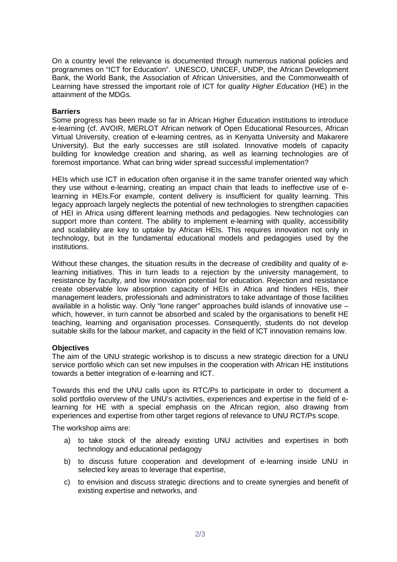On a country level the relevance is documented through numerous national policies and programmes on "ICT for Education". UNESCO, UNICEF, UNDP, the African Development Bank, the World Bank, the Association of African Universities, and the Commonwealth of Learning have stressed the important role of ICT for quality Higher Education (HE) in the attainment of the MDGs.

# **Barriers**

Some progress has been made so far in African Higher Education institutions to introduce e-learning (cf. AVOIR, MERLOT African network of Open Educational Resources, African Virtual University, creation of e-learning centres, as in Kenyatta University and Makarere University). But the early successes are still isolated. Innovative models of capacity building for knowledge creation and sharing, as well as learning technologies are of foremost importance. What can bring wider spread successful implementation?

HEIs which use ICT in education often organise it in the same transfer oriented way which they use without e-learning, creating an impact chain that leads to ineffective use of elearning in HEIs.For example, content delivery is insufficient for quality learning. This legacy approach largely neglects the potential of new technologies to strengthen capacities of HEI in Africa using different learning methods and pedagogies. New technologies can support more than content. The ability to implement e-learning with quality, accessibility and scalability are key to uptake by African HEIs. This requires innovation not only in technology, but in the fundamental educational models and pedagogies used by the institutions.

Without these changes, the situation results in the decrease of credibility and quality of elearning initiatives. This in turn leads to a rejection by the university management, to resistance by faculty, and low innovation potential for education. Rejection and resistance create observable low absorption capacity of HEIs in Africa and hinders HEIs, their management leaders, professionals and administrators to take advantage of those facilities available in a holistic way. Only "lone ranger" approaches build islands of innovative use which, however, in turn cannot be absorbed and scaled by the organisations to benefit HE teaching, learning and organisation processes. Consequently, students do not develop suitable skills for the labour market, and capacity in the field of ICT innovation remains low.

# **Objectives**

The aim of the UNU strategic workshop is to discuss a new strategic direction for a UNU service portfolio which can set new impulses in the cooperation with African HE institutions towards a better integration of e-learning and ICT.

Towards this end the UNU calls upon its RTC/Ps to participate in order to document a solid portfolio overview of the UNU's activities, experiences and expertise in the field of elearning for HE with a special emphasis on the African region, also drawing from experiences and expertise from other target regions of relevance to UNU RCT/Ps scope.

The workshop aims are:

- a) to take stock of the already existing UNU activities and expertises in both technology and educational pedagogy
- b) to discuss future cooperation and development of e-learning inside UNU in selected key areas to leverage that expertise,
- c) to envision and discuss strategic directions and to create synergies and benefit of existing expertise and networks, and